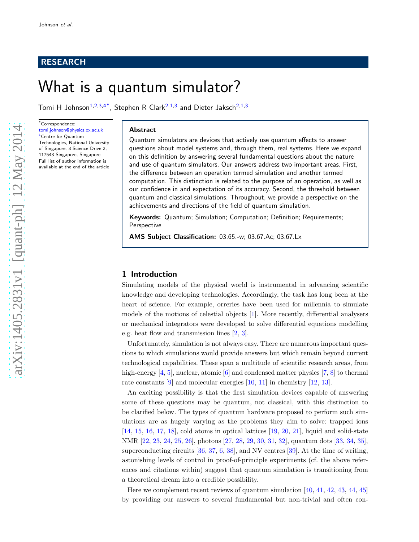## RESEARCH

# What is a quantum simulator?

Tomi H Johnson $^{1,2,3,4^*}$  $^{1,2,3,4^*}$  $^{1,2,3,4^*}$  $^{1,2,3,4^*}$  $^{1,2,3,4^*}$  $^{1,2,3,4^*}$  $^{1,2,3,4^*}$  $^{1,2,3,4^*}$ , Stephen R Clark $^{2,1,3}$  $^{2,1,3}$  $^{2,1,3}$  $^{2,1,3}$  $^{2,1,3}$  and Dieter Jaksch $^{2,1,3}$  $^{2,1,3}$  $^{2,1,3}$  $^{2,1,3}$ 

<span id="page-0-0"></span>\*Correspondence: [tomi.johnson@physics.ox.ac.uk](mailto:tomi.johnson@physics.ox.ac.uk) <sup>[1](#page-9-0)</sup>Centre for Quantum Technologies, National University of Singapore, 3 Science Drive 2, 117543 Singapore, Singapore Full list of author information is available at the end of the article

#### Abstract

Quantum simulators are devices that actively use quantum effects to answer questions about model systems and, through them, real systems. Here we expand on this definition by answering several fundamental questions about the nature and use of quantum simulators. Our answers address two important areas. First, the difference between an operation termed simulation and another termed computation. This distinction is related to the purpose of an operation, as well as our confidence in and expectation of its accuracy. Second, the threshold between quantum and classical simulations. Throughout, we provide a perspective on the achievements and directions of the field of quantum simulation.

Keywords: Quantum; Simulation; Computation; Definition; Requirements; Perspective

AMS Subject Classification: 03.65.-w; 03.67.Ac; 03.67.Lx

## 1 Introduction

Simulating models of the physical world is instrumental in advancing scientific knowledge and developing technologies. Accordingly, the task has long been at the heart of science. For example, orreries have been used for millennia to simulate models of the motions of celestial objects [\[1\]](#page-9-4). More recently, differential analysers or mechanical integrators were developed to solve differential equations modelling e.g. heat flow and transmission lines [\[2,](#page-9-5) [3\]](#page-9-6).

Unfortunately, simulation is not always easy. There are numerous important questions to which simulations would provide answers but which remain beyond current technological capabilities. These span a multitude of scientific research areas, from high-energy [\[4,](#page-9-7) [5\]](#page-9-8), nuclear, atomic [\[6\]](#page-9-9) and condensed matter physics [\[7,](#page-9-10) [8\]](#page-9-11) to thermal rate constants [\[9\]](#page-9-12) and molecular energies [\[10,](#page-9-13) [11\]](#page-9-14) in chemistry [\[12,](#page-9-15) [13\]](#page-9-16).

An exciting possibility is that the first simulation devices capable of answering some of these questions may be quantum, not classical, with this distinction to be clarified below. The types of quantum hardware proposed to perform such simulations are as hugely varying as the problems they aim to solve: trapped ions [\[14,](#page-9-17) [15,](#page-9-18) [16,](#page-9-19) [17,](#page-9-20) [18\]](#page-9-21), cold atoms in optical lattices [\[19,](#page-9-22) [20,](#page-9-23) [21\]](#page-9-24), liquid and solid-state NMR [\[22,](#page-9-25) [23,](#page-9-26) [24,](#page-9-27) [25,](#page-9-28) [26\]](#page-9-29), photons [\[27,](#page-9-30) [28,](#page-9-31) [29,](#page-9-32) [30,](#page-10-0) [31,](#page-10-1) [32\]](#page-10-2), quantum dots [\[33,](#page-10-3) [34,](#page-10-4) [35\]](#page-10-5), superconducting circuits [\[36,](#page-10-6) [37,](#page-10-7) [6,](#page-9-9) [38\]](#page-10-8), and NV centres [\[39\]](#page-10-9). At the time of writing, astonishing levels of control in proof-of-principle experiments (cf. the above references and citations within) suggest that quantum simulation is transitioning from a theoretical dream into a credible possibility.

Here we complement recent reviews of quantum simulation [\[40,](#page-10-10) [41,](#page-10-11) [42,](#page-10-12) [43,](#page-10-13) [44,](#page-10-14) [45\]](#page-10-15) by providing our answers to several fundamental but non-trivial and often con-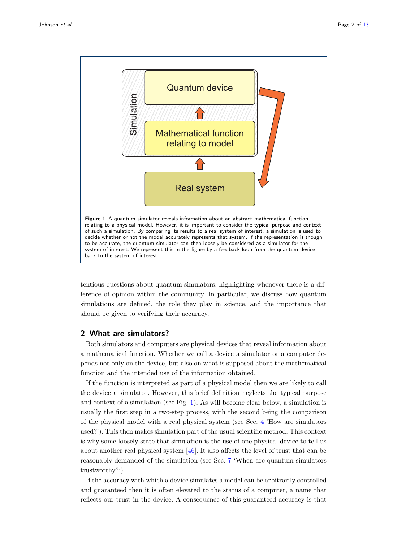

<span id="page-1-0"></span>tentious questions about quantum simulators, highlighting whenever there is a difference of opinion within the community. In particular, we discuss how quantum simulations are defined, the role they play in science, and the importance that should be given to verifying their accuracy.

## <span id="page-1-1"></span>2 What are simulators?

Both simulators and computers are physical devices that reveal information about a mathematical function. Whether we call a device a simulator or a computer depends not only on the device, but also on what is supposed about the mathematical function and the intended use of the information obtained.

If the function is interpreted as part of a physical model then we are likely to call the device a simulator. However, this brief definition neglects the typical purpose and context of a simulation (see Fig. [1\)](#page-1-0). As will become clear below, a simulation is usually the first step in a two-step process, with the second being the comparison of the physical model with a real physical system (see Sec. [4](#page-4-0) 'How are simulators used?'). This then makes simulation part of the usual scientific method. This context is why some loosely state that simulation is the use of one physical device to tell us about another real physical system [\[46\]](#page-10-16). It also affects the level of trust that can be reasonably demanded of the simulation (see Sec. [7](#page-6-0) 'When are quantum simulators trustworthy?').

If the accuracy with which a device simulates a model can be arbitrarily controlled and guaranteed then it is often elevated to the status of a computer, a name that reflects our trust in the device. A consequence of this guaranteed accuracy is that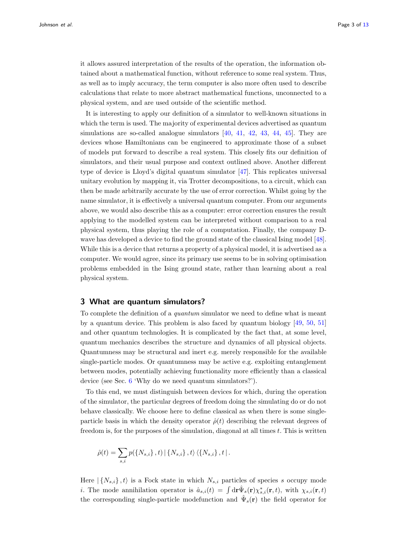it allows assured interpretation of the results of the operation, the information obtained about a mathematical function, without reference to some real system. Thus, as well as to imply accuracy, the term computer is also more often used to describe calculations that relate to more abstract mathematical functions, unconnected to a physical system, and are used outside of the scientific method.

It is interesting to apply our definition of a simulator to well-known situations in which the term is used. The majority of experimental devices advertised as quantum simulations are so-called analogue simulators [\[40,](#page-10-10) [41,](#page-10-11) [42,](#page-10-12) [43,](#page-10-13) [44,](#page-10-14) [45\]](#page-10-15). They are devices whose Hamiltonians can be engineered to approximate those of a subset of models put forward to describe a real system. This closely fits our definition of simulators, and their usual purpose and context outlined above. Another different type of device is Lloyd's digital quantum simulator [\[47\]](#page-10-17). This replicates universal unitary evolution by mapping it, via Trotter decompositions, to a circuit, which can then be made arbitrarily accurate by the use of error correction. Whilst going by the name simulator, it is effectively a universal quantum computer. From our arguments above, we would also describe this as a computer: error correction ensures the result applying to the modelled system can be interpreted without comparison to a real physical system, thus playing the role of a computation. Finally, the company Dwave has developed a device to find the ground state of the classical Ising model [\[48\]](#page-10-18). While this is a device that returns a property of a physical model, it is advertised as a computer. We would agree, since its primary use seems to be in solving optimisation problems embedded in the Ising ground state, rather than learning about a real physical system.

### 3 What are quantum simulators?

To complete the definition of a *quantum* simulator we need to define what is meant by a quantum device. This problem is also faced by quantum biology [\[49,](#page-10-19) [50,](#page-10-20) [51\]](#page-10-21) and other quantum technologies. It is complicated by the fact that, at some level, quantum mechanics describes the structure and dynamics of all physical objects. Quantumness may be structural and inert e.g. merely responsible for the available single-particle modes. Or quantumness may be active e.g. exploiting entanglement between modes, potentially achieving functionality more efficiently than a classical device (see Sec. [6](#page-5-0) 'Why do we need quantum simulators?').

To this end, we must distinguish between devices for which, during the operation of the simulator, the particular degrees of freedom doing the simulating do or do not behave classically. We choose here to define classical as when there is some singleparticle basis in which the density operator  $\hat{\rho}(t)$  describing the relevant degrees of freedom is, for the purposes of the simulation, diagonal at all times  $t$ . This is written

$$
\hat{\rho}(t) = \sum_{s,i} p(\lbrace N_{s,i} \rbrace, t) | \lbrace N_{s,i} \rbrace, t \rangle \langle \lbrace N_{s,i} \rbrace, t |.
$$

Here  $|{N_{s,i}}\rangle$ , t) is a Fock state in which  $N_{s,i}$  particles of species s occupy mode *i*. The mode annihilation operator is  $\hat{a}_{s,i}(t) = \int d\mathbf{r} \hat{\Psi}_s(\mathbf{r}) \chi^*_{s,i}(\mathbf{r},t)$ , with  $\chi_{s,i}(\mathbf{r},t)$ the corresponding single-particle modefunction and  $\hat{\Psi}_s(\mathbf{r})$  the field operator for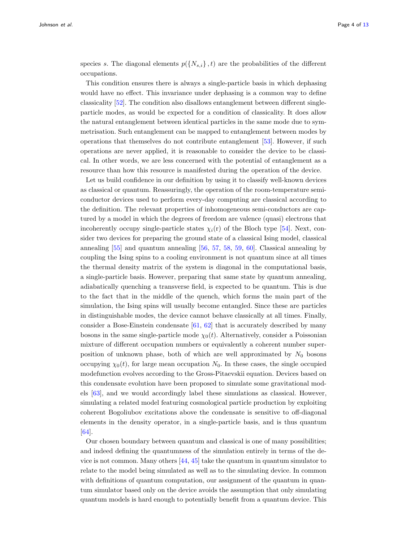species s. The diagonal elements  $p(\{N_{s,i}\}, t)$  are the probabilities of the different occupations.

This condition ensures there is always a single-particle basis in which dephasing would have no effect. This invariance under dephasing is a common way to define classicality [\[52\]](#page-10-22). The condition also disallows entanglement between different singleparticle modes, as would be expected for a condition of classicality. It does allow the natural entanglement between identical particles in the same mode due to symmetrisation. Such entanglement can be mapped to entanglement between modes by operations that themselves do not contribute entanglement [\[53\]](#page-10-23). However, if such operations are never applied, it is reasonable to consider the device to be classical. In other words, we are less concerned with the potential of entanglement as a resource than how this resource is manifested during the operation of the device.

Let us build confidence in our definition by using it to classify well-known devices as classical or quantum. Reassuringly, the operation of the room-temperature semiconductor devices used to perform every-day computing are classical according to the definition. The relevant properties of inhomogeneous semi-conductors are captured by a model in which the degrees of freedom are valence (quasi) electrons that incoherently occupy single-particle states  $\chi_i(r)$  of the Bloch type [\[54\]](#page-10-24). Next, consider two devices for preparing the ground state of a classical Ising model, classical annealing [\[55\]](#page-10-25) and quantum annealing [\[56,](#page-10-26) [57,](#page-10-27) [58,](#page-10-28) [59,](#page-10-29) [60\]](#page-10-30). Classical annealing by coupling the Ising spins to a cooling environment is not quantum since at all times the thermal density matrix of the system is diagonal in the computational basis, a single-particle basis. However, preparing that same state by quantum annealing, adiabatically quenching a transverse field, is expected to be quantum. This is due to the fact that in the middle of the quench, which forms the main part of the simulation, the Ising spins will usually become entangled. Since these are particles in distinguishable modes, the device cannot behave classically at all times. Finally, consider a Bose-Einstein condensate [\[61,](#page-10-31) [62\]](#page-10-32) that is accurately described by many bosons in the same single-particle mode  $\chi_0(t)$ . Alternatively, consider a Poissonian mixture of different occupation numbers or equivalently a coherent number superposition of unknown phase, both of which are well approximated by  $N_0$  bosons occupying  $\chi_0(t)$ , for large mean occupation  $N_0$ . In these cases, the single occupied modefunction evolves according to the Gross-Pitaevskii equation. Devices based on this condensate evolution have been proposed to simulate some gravitational models [\[63\]](#page-10-33), and we would accordingly label these simulations as classical. However, simulating a related model featuring cosmological particle production by exploiting coherent Bogoliubov excitations above the condensate is sensitive to off-diagonal elements in the density operator, in a single-particle basis, and is thus quantum [\[64\]](#page-10-34).

Our chosen boundary between quantum and classical is one of many possibilities; and indeed defining the quantumness of the simulation entirely in terms of the device is not common. Many others [\[44,](#page-10-14) [45\]](#page-10-15) take the quantum in quantum simulator to relate to the model being simulated as well as to the simulating device. In common with definitions of quantum computation, our assignment of the quantum in quantum simulator based only on the device avoids the assumption that only simulating quantum models is hard enough to potentially benefit from a quantum device. This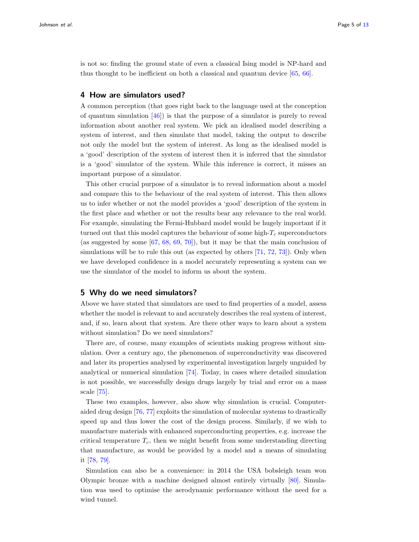is not so: finding the ground state of even a classical Ising model is NP-hard and thus thought to be inefficient on both a classical and quantum device [\[65,](#page-10-35) [66\]](#page-10-36).

### <span id="page-4-0"></span>4 How are simulators used?

A common perception (that goes right back to the language used at the conception of quantum simulation  $[46]$  is that the purpose of a simulator is purely to reveal information about another real system. We pick an idealised model describing a system of interest, and then simulate that model, taking the output to describe not only the model but the system of interest. As long as the idealised model is a 'good' description of the system of interest then it is inferred that the simulator is a 'good' simulator of the system. While this inference is correct, it misses an important purpose of a simulator.

This other crucial purpose of a simulator is to reveal information about a model and compare this to the behaviour of the real system of interest. This then allows us to infer whether or not the model provides a 'good' description of the system in the first place and whether or not the results bear any relevance to the real world. For example, simulating the Fermi-Hubbard model would be hugely important if it turned out that this model captures the behaviour of some high- $T_c$  superconductors (as suggested by some  $[67, 68, 69, 70]$  $[67, 68, 69, 70]$  $[67, 68, 69, 70]$  $[67, 68, 69, 70]$  $[67, 68, 69, 70]$  $[67, 68, 69, 70]$ ), but it may be that the main conclusion of simulations will be to rule this out (as expected by others [\[71,](#page-11-1) [72,](#page-11-2) [73\]](#page-11-3)). Only when we have developed confidence in a model accurately representing a system can we use the simulator of the model to inform us about the system.

## 5 Why do we need simulators?

Above we have stated that simulators are used to find properties of a model, assess whether the model is relevant to and accurately describes the real system of interest, and, if so, learn about that system. Are there other ways to learn about a system without simulation? Do we need simulators?

There are, of course, many examples of scientists making progress without simulation. Over a century ago, the phenomenon of superconductivity was discovered and later its properties analysed by experimental investigation largely unguided by analytical or numerical simulation [\[74\]](#page-11-4). Today, in cases where detailed simulation is not possible, we successfully design drugs largely by trial and error on a mass scale [\[75\]](#page-11-5).

These two examples, however, also show why simulation is crucial. Computeraided drug design [\[76,](#page-11-6) [77\]](#page-11-7) exploits the simulation of molecular systems to drastically speed up and thus lower the cost of the design process. Similarly, if we wish to manufacture materials with enhanced superconducting properties, e.g. increase the critical temperature  $T_c$ , then we might benefit from some understanding directing that manufacture, as would be provided by a model and a means of simulating it [\[78,](#page-11-8) [79\]](#page-11-9).

Simulation can also be a convenience: in 2014 the USA bobsleigh team won Olympic bronze with a machine designed almost entirely virtually [\[80\]](#page-11-10). Simulation was used to optimise the aerodynamic performance without the need for a wind tunnel.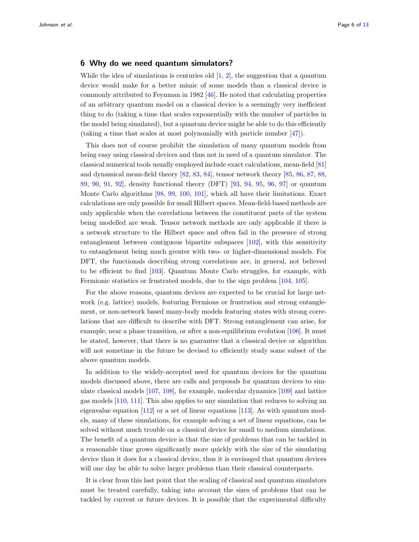## <span id="page-5-0"></span>6 Why do we need quantum simulators?

While the idea of simulations is centuries old  $[1, 2]$  $[1, 2]$ , the suggestion that a quantum device would make for a better mimic of some models than a classical device is commonly attributed to Feynman in 1982 [\[46\]](#page-10-16). He noted that calculating properties of an arbitrary quantum model on a classical device is a seemingly very inefficient thing to do (taking a time that scales exponentially with the number of particles in the model being simulated), but a quantum device might be able to do this efficiently (taking a time that scales at most polynomially with particle number [\[47\]](#page-10-17)).

This does not of course prohibit the simulation of many quantum models from being easy using classical devices and thus not in need of a quantum simulator. The classical numerical tools usually employed include exact calculations, mean-field [\[81\]](#page-11-11) and dynamical mean-field theory [\[82,](#page-11-12) [83,](#page-11-13) [84\]](#page-11-14), tensor network theory [\[85,](#page-11-15) [86,](#page-11-16) [87,](#page-11-17) [88,](#page-11-18) [89,](#page-11-19) [90,](#page-11-20) [91,](#page-11-21) [92\]](#page-11-22), density functional theory (DFT) [\[93,](#page-11-23) [94,](#page-11-24) [95,](#page-11-25) [96,](#page-11-26) [97\]](#page-11-27) or quantum Monte Carlo algorithms [\[98,](#page-11-28) [99,](#page-11-29) [100,](#page-11-30) [101\]](#page-11-31), which all have their limitations. Exact calculations are only possible for small Hilbert spaces. Mean-field-based methods are only applicable when the correlations between the constituent parts of the system being modelled are weak. Tensor network methods are only applicable if there is a network structure to the Hilbert space and often fail in the presence of strong entanglement between contiguous bipartite subspaces [\[102\]](#page-11-32), with this sensitivity to entanglement being much greater with two- or higher-dimensional models. For DFT, the functionals describing strong correlations are, in general, not believed to be efficient to find [\[103\]](#page-11-33). Quantum Monte Carlo struggles, for example, with Fermionic statistics or frustrated models, due to the sign problem [\[104,](#page-11-34) [105\]](#page-11-35).

For the above reasons, quantum devices are expected to be crucial for large network (e.g. lattice) models, featuring Fermions or frustration and strong entanglement, or non-network based many-body models featuring states with strong correlations that are difficult to describe with DFT. Strong entanglement can arise, for example, near a phase transition, or after a non-equilibrium evolution [\[106\]](#page-11-36). It must be stated, however, that there is no guarantee that a classical device or algorithm will not sometime in the future be devised to efficiently study some subset of the above quantum models.

In addition to the widely-accepted need for quantum devices for the quantum models discussed above, there are calls and proposals for quantum devices to simulate classical models [\[107,](#page-11-37) [108\]](#page-12-1), for example, molecular dynamics [\[109\]](#page-12-2) and lattice gas models [\[110,](#page-12-3) [111\]](#page-12-4). This also applies to any simulation that reduces to solving an eigenvalue equation [\[112\]](#page-12-5) or a set of linear equations [\[113\]](#page-12-6). As with quantum models, many of these simulations, for example solving a set of linear equations, can be solved without much trouble on a classical device for small to medium simulations. The benefit of a quantum device is that the size of problems that can be tackled in a reasonable time grows significantly more quickly with the size of the simulating device than it does for a classical device, thus it is envisaged that quantum devices will one day be able to solve larger problems than their classical counterparts.

It is clear from this last point that the scaling of classical and quantum simulators must be treated carefully, taking into account the sizes of problems that can be tackled by current or future devices. It is possible that the experimental difficulty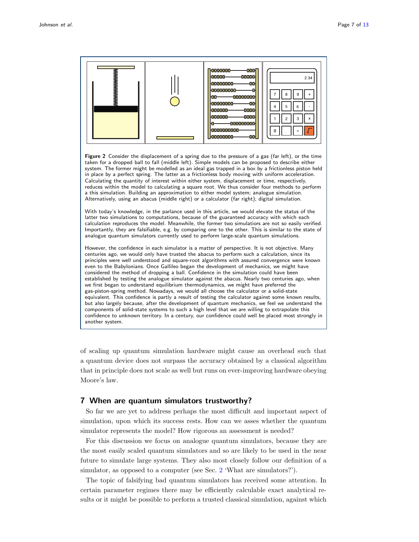

<span id="page-6-1"></span>However, the confidence in each simulator is a matter of perspective. It is not objective. Many centuries ago, we would only have trusted the abacus to perform such a calculation, since its principles were well understood and square-root algorithms with assured convergence were known even to the Babylonians. Once Gallileo began the development of mechanics, we might have considered the method of dropping a ball. Confidence in the simulation could have been established by testing the analogue simulator against the abacus. Nearly two centuries ago, when we first began to understand equilibrium thermodynamics, we might have preferred the gas-piston-spring method. Nowadays, we would all choose the calculator or a solid-state equivalent. This confidence is partly a result of testing the calculator against some known results, but also largely because, after the development of quantum mechanics, we feel we understand the components of solid-state systems to such a high level that we are willing to extrapolate this confidence to unknown territory. In a century, our confidence could well be placed most strongly in another system.

of scaling up quantum simulation hardware might cause an overhead such that a quantum device does not surpass the accuracy obtained by a classical algorithm that in principle does not scale as well but runs on ever-improving hardware obeying Moore's law.

#### <span id="page-6-0"></span>7 When are quantum simulators trustworthy?

So far we are yet to address perhaps the most difficult and important aspect of simulation, upon which its success rests. How can we asses whether the quantum simulator represents the model? How rigorous an assessment is needed?

For this discussion we focus on analogue quantum simulators, because they are the most easily scaled quantum simulators and so are likely to be used in the near future to simulate large systems. They also most closely follow our definition of a simulator, as opposed to a computer (see Sec. [2](#page-1-1) 'What are simulators?').

The topic of falsifying bad quantum simulators has received some attention. In certain parameter regimes there may be efficiently calculable exact analytical results or it might be possible to perform a trusted classical simulation, against which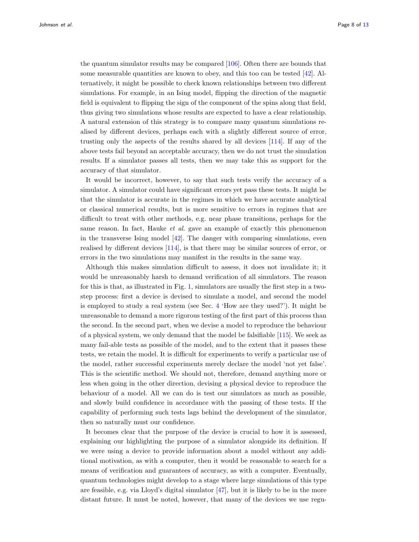the quantum simulator results may be compared [\[106\]](#page-11-36). Often there are bounds that some measurable quantities are known to obey, and this too can be tested  $[42]$ . Alternatively, it might be possible to check known relationships between two different simulations. For example, in an Ising model, flipping the direction of the magnetic field is equivalent to flipping the sign of the component of the spins along that field, thus giving two simulations whose results are expected to have a clear relationship. A natural extension of this strategy is to compare many quantum simulations realised by different devices, perhaps each with a slightly different source of error, trusting only the aspects of the results shared by all devices [\[114\]](#page-12-7). If any of the above tests fail beyond an acceptable accuracy, then we do not trust the simulation results. If a simulator passes all tests, then we may take this as support for the accuracy of that simulator.

It would be incorrect, however, to say that such tests verify the accuracy of a simulator. A simulator could have significant errors yet pass these tests. It might be that the simulator is accurate in the regimes in which we have accurate analytical or classical numerical results, but is more sensitive to errors in regimes that are difficult to treat with other methods, e.g. near phase transitions, perhaps for the same reason. In fact, Hauke *et al.* gave an example of exactly this phenomenon in the transverse Ising model  $[42]$ . The danger with comparing simulations, even realised by different devices [\[114\]](#page-12-7), is that there may be similar sources of error, or errors in the two simulations may manifest in the results in the same way.

Although this makes simulation difficult to assess, it does not invalidate it; it would be unreasonably harsh to demand verification of all simulators. The reason for this is that, as illustrated in Fig. [1,](#page-1-0) simulators are usually the first step in a twostep process: first a device is devised to simulate a model, and second the model is employed to study a real system (see Sec. [4](#page-4-0) 'How are they used?'). It might be unreasonable to demand a more rigorous testing of the first part of this process than the second. In the second part, when we devise a model to reproduce the behaviour of a physical system, we only demand that the model be falsifiable [\[115\]](#page-12-8). We seek as many fail-able tests as possible of the model, and to the extent that it passes these tests, we retain the model. It is difficult for experiments to verify a particular use of the model, rather successful experiments merely declare the model 'not yet false'. This is the scientific method. We should not, therefore, demand anything more or less when going in the other direction, devising a physical device to reproduce the behaviour of a model. All we can do is test our simulators as much as possible, and slowly build confidence in accordance with the passing of these tests. If the capability of performing such tests lags behind the development of the simulator, then so naturally must our confidence.

It becomes clear that the purpose of the device is crucial to how it is assessed, explaining our highlighting the purpose of a simulator alongside its definition. If we were using a device to provide information about a model without any additional motivation, as with a computer, then it would be reasonable to search for a means of verification and guarantees of accuracy, as with a computer. Eventually, quantum technologies might develop to a stage where large simulations of this type are feasible, e.g. via Lloyd's digital simulator [\[47\]](#page-10-17), but it is likely to be in the more distant future. It must be noted, however, that many of the devices we use regu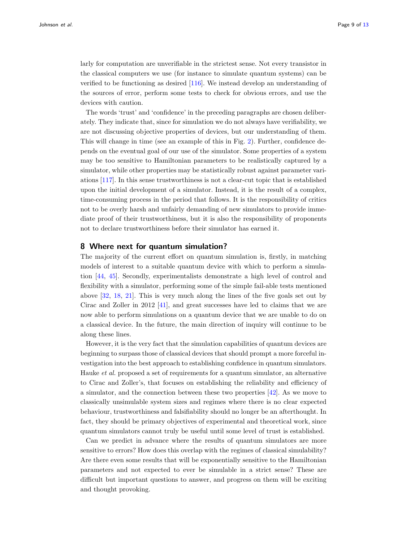larly for computation are unverifiable in the strictest sense. Not every transistor in the classical computers we use (for instance to simulate quantum systems) can be verified to be functioning as desired [\[116\]](#page-12-9). We instead develop an understanding of the sources of error, perform some tests to check for obvious errors, and use the devices with caution.

The words 'trust' and 'confidence' in the preceding paragraphs are chosen deliberately. They indicate that, since for simulation we do not always have verifiability, we are not discussing objective properties of devices, but our understanding of them. This will change in time (see an example of this in Fig. [2\)](#page-6-1). Further, confidence depends on the eventual goal of our use of the simulator. Some properties of a system may be too sensitive to Hamiltonian parameters to be realistically captured by a simulator, while other properties may be statistically robust against parameter variations [\[117\]](#page-12-10). In this sense trustworthiness is not a clear-cut topic that is established upon the initial development of a simulator. Instead, it is the result of a complex, time-consuming process in the period that follows. It is the responsibility of critics not to be overly harsh and unfairly demanding of new simulators to provide immediate proof of their trustworthiness, but it is also the responsibility of proponents not to declare trustworthiness before their simulator has earned it.

#### 8 Where next for quantum simulation?

The majority of the current effort on quantum simulation is, firstly, in matching models of interest to a suitable quantum device with which to perform a simulation [\[44,](#page-10-14) [45\]](#page-10-15). Secondly, experimentalists demonstrate a high level of control and flexibility with a simulator, performing some of the simple fail-able tests mentioned above [\[32,](#page-10-2) [18,](#page-9-21) [21\]](#page-9-24). This is very much along the lines of the five goals set out by Cirac and Zoller in 2012 [\[41\]](#page-10-11), and great successes have led to claims that we are now able to perform simulations on a quantum device that we are unable to do on a classical device. In the future, the main direction of inquiry will continue to be along these lines.

However, it is the very fact that the simulation capabilities of quantum devices are beginning to surpass those of classical devices that should prompt a more forceful investigation into the best approach to establishing confidence in quantum simulators. Hauke et al. proposed a set of requirements for a quantum simulator, an alternative to Cirac and Zoller's, that focuses on establishing the reliability and efficiency of a simulator, and the connection between these two properties [\[42\]](#page-10-12). As we move to classically unsimulable system sizes and regimes where there is no clear expected behaviour, trustworthiness and falsifiability should no longer be an afterthought. In fact, they should be primary objectives of experimental and theoretical work, since quantum simulators cannot truly be useful until some level of trust is established.

Can we predict in advance where the results of quantum simulators are more sensitive to errors? How does this overlap with the regimes of classical simulability? Are there even some results that will be exponentially sensitive to the Hamiltonian parameters and not expected to ever be simulable in a strict sense? These are difficult but important questions to answer, and progress on them will be exciting and thought provoking.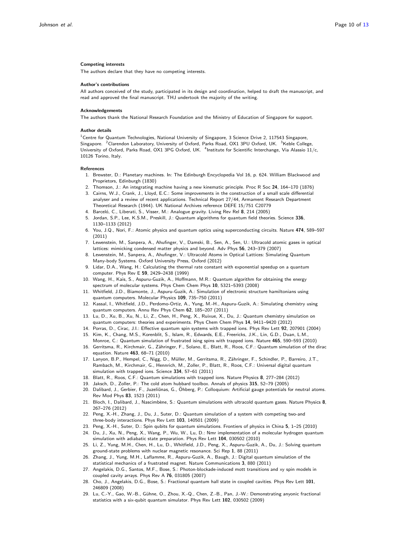#### Competing interests

The authors declare that they have no competing interests.

#### Author's contributions

All authors conceived of the study, participated in its design and coordination, helped to draft the manuscript, and read and approved the final manuscript. THJ undertook the majority of the writing.

#### Acknowledgements

The authors thank the National Research Foundation and the Ministry of Education of Singapore for support.

#### Author details

<span id="page-9-1"></span><span id="page-9-0"></span> $1$ Centre for Quantum Technologies, National University of Singapore, 3 Science Drive 2, 117543 Singapore, Singapore. <sup>2</sup>Clarendon Laboratory, University of Oxford, Parks Road, OX1 3PU Oxford, UK. <sup>3</sup>Keble College, University of Oxford, Parks Road, OX1 3PG Oxford, UK. <sup>4</sup>Institute for Scientific Interchange, Via Alassio 11/c, 10126 Torino, Italy.

#### <span id="page-9-4"></span>References

- <span id="page-9-3"></span><span id="page-9-2"></span>1. Brewster, D.: Planetary machines. In: The Edinburgh Encyclopedia Vol 16, p. 624. William Blackwood and Proprietors, Edinburgh (1830)
- <span id="page-9-6"></span><span id="page-9-5"></span>2. Thomson, J.: An integrating machine having a new kinematic principle. Proc R Soc 24, 164–170 (1876)
- 3. Cairns, W.J., Crank, J., Lloyd, E.C.: Some improvements in the construction of a small scale differential analyser and a review of recent applications. Technical Report 27/44, Armament Research Department Theoretical Research (1944). UK National Archives reference DEFE 15/751 C20779
- <span id="page-9-8"></span><span id="page-9-7"></span>4. Barceló, C., Liberati, S., Visser, M.: Analogue gravity. Living Rev Rel 8, 214 (2005) 5. Jordan, S.P., Lee, K.S.M., Preskill, J.: Quantum algorithms for quantum field theories. Science 336,
- <span id="page-9-9"></span>1130–1133 (2012) 6. You, J.Q., Nori, F.: Atomic physics and quantum optics using superconducting circuits. Nature 474, 589–597
- <span id="page-9-10"></span>(2011) 7. Lewenstein, M., Sanpera, A., Ahufinger, V., Damski, B., Sen, A., Sen, U.: Ultracold atomic gases in optical
- <span id="page-9-11"></span>lattices: mimicking condensed matter physics and beyond. Adv Phys 56, 243–379 (2007) 8. Lewenstein, M., Sanpera, A., Ahufinger, V.: Ultracold Atoms in Optical Lattices: Simulating Quantum
- <span id="page-9-12"></span>Many-body Systems. Oxford University Press, Oxford (2012) 9. Lidar, D.A., Wang, H.: Calculating the thermal rate constant with exponential speedup on a quantum
- computer. Phys Rev E 59, 2429–2438 (1999)
- <span id="page-9-13"></span>10. Wang, H., Kais, S., Aspuru-Guzik, A., Hoffmann, M.R.: Quantum algorithm for obtaining the energy spectrum of molecular systems. Phys Chem Chem Phys 10, 5321–5393 (2008)
- <span id="page-9-14"></span>11. Whitfield, J.D., Biamonte, J., Aspuru-Guzik, A.: Simulation of electronic structure hamiltonians using quantum computers. Molecular Physics 109, 735–750 (2011)
- <span id="page-9-15"></span>12. Kassal, I., Whitfield, J.D., Perdomo-Ortiz, A., Yung, M.-H., Aspuru-Guzik, A.: Simulating chemistry using quantum computers. Annu Rev Phys Chem 62, 185-207 (2011)
- <span id="page-9-16"></span>13. Lu, D., Xu, B., Xu, N., Li, Z., Chen, H., Peng, X., Ruixue, X., Du, J.: Quantum chemistry simulation on quantum computers: theories and experiments. Phys Chem Chem Phys 14, 9411–9420 (2012)
- <span id="page-9-18"></span><span id="page-9-17"></span>14. Porras, D., Cirac, J.I.: Effective quantum spin systems with trapped ions. Phys Rev Lett 92, 207901 (2004)
- 15. Kim, K., Chang, M.S., Korenblit, S., Islam, R., Edwards, E.E., Freericks, J.K., Lin, G.D., Duan, L.M.,
- <span id="page-9-19"></span>Monroe, C.: Quantum simulation of frustrated ising spins with trapped ions. Nature 465, 590–593 (2010) 16. Gerritsma, R., Kirchmair, G., Zähringer, F., Solano, E., Blatt, R., Roos, C.F.: Quantum simulation of the dirac equation. Nature 463, 68–71 (2010)
- <span id="page-9-20"></span>17. Lanyon, B.P., Hempel, C., Nigg, D., Müller, M., Gerritsma, R., Zähringer, F., Schindler, P., Barreiro, J.T., Rambach, M., Kirchmair, G., Hennrich, M., Zoller, P., Blatt, R., Roos, C.F.: Universal digital quantum simulation with trapped ions. Science 334, 57–61 (2011)
- <span id="page-9-22"></span><span id="page-9-21"></span>18. Blatt, R., Roos, C.F.: Quantum simulations with trapped ions. Nature Physics 8, 277–284 (2012)
- <span id="page-9-23"></span>19. Jaksch, D., Zoller, P.: The cold atom hubbard toolbox. Annals of physics 315, 52–79 (2005)
- 20. Dalibard, J., Gerbier, F., Juzeliūnas, G., Öhberg, P.: Colloquium: Artificial gauge potentials for neutral atoms. Rev Mod Phys 83, 1523 (2011)
- <span id="page-9-24"></span>21. Bloch, I., Dalibard, J., Nascimbène, S.: Quantum simulations with ultracold quantum gases. Nature Physics 8, 267–276 (2012)
- <span id="page-9-25"></span>22. Peng, X.-H., Zhang, J., Du, J., Suter, D.: Quantum simulation of a system with competing two-and three-body interactions. Phys Rev Lett 103, 140501 (2009)
- <span id="page-9-27"></span><span id="page-9-26"></span>23. Peng, X.-H., Suter, D.: Spin qubits for quantum simulations. Frontiers of physics in China 5, 1–25 (2010)
- 24. Du, J., Xu, N., Peng, X., Wang, P., Wu, W., Lu, D.: Nmr implementation of a molecular hydrogen quantum simulation with adiabatic state preparation. Phys Rev Lett 104, 030502 (2010)
- <span id="page-9-28"></span>25. Li, Z., Yung, M.H., Chen, H., Lu, D., Whitfield, J.D., Peng, X., Aspuru-Guzik, A., Du, J.: Solving quantum ground-state problems with nuclear magnetic resonance. Sci Rep 1, 88 (2011)
- <span id="page-9-29"></span>26. Zhang, J., Yung, M.H., Laflamme, R., Aspuru-Guzik, A., Baugh, J.: Digital quantum simulation of the statistical mechanics of a frustrated magnet. Nature Communications 3, 880 (2011)
- <span id="page-9-30"></span>27. Angelakis, D.G., Santos, M.F., Bose, S.: Photon-blockade-induced mott transitions and xy spin models in coupled cavity arrays. Phys Rev A 76, 031805 (2007)
- <span id="page-9-31"></span>28. Cho, J., Angelakis, D.G., Bose, S.: Fractional quantum hall state in coupled cavities. Phys Rev Lett 101, 246809 (2008)
- <span id="page-9-32"></span>29. Lu, C.-Y., Gao, W.-B., Gühne, O., Zhou, X.-Q., Chen, Z.-B., Pan, J.-W.: Demonstrating anyonic fractional statistics with a six-qubit quantum simulator. Phys Rev Lett 102, 030502 (2009)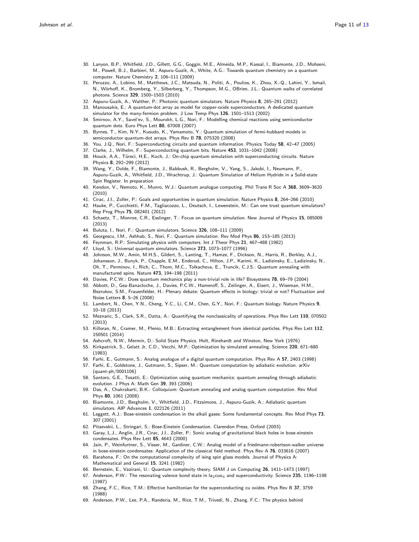- <span id="page-10-0"></span>30. Lanyon, B.P., Whitfield, J.D., Gillett, G.G., Goggin, M.E., Almeida, M.P., Kassal, I., Biamonte, J.D., Mohseni, M., Powell, B.J., Barbieri, M., Aspuru-Guzik, A., White, A.G.: Towards quantum chemistry on a quantum computer. Nature Chemistry 2, 106–111 (2009)
- <span id="page-10-1"></span>31. Peruzzo, A., Lobino, M., Matthews, J.C., Matsuda, N., Politi, A., Poulios, K., Zhou, X.-Q., Lahini, Y., Ismail, N., Wörhoff, K., Bromberg, Y., Silberberg, Y., Thompson, M.G., OBrien, J.L.: Quantum walks of correlated photons. Science 329, 1500–1503 (2010)
- <span id="page-10-3"></span><span id="page-10-2"></span>32. Aspuru-Guzik, A., Walther, P.: Photonic quantum simulators. Nature Physics 8, 285–291 (2012)
- 33. Manousakis, E.: A quantum-dot array as model for copper-oxide superconductors: A dedicated quantum simulator for the many-fermion problem. J Low Temp Phys 126, 1501–1513 (2002)
- <span id="page-10-4"></span>34. Smirnov, A.Y., Savel'ev, S., Mourokh, L.G., Nori, F.: Modelling chemical reactions using semiconductor quantum dots. Euro Phys Lett 80, 67008 (2007)
- <span id="page-10-5"></span>35. Byrnes, T., Kim, N.Y., Kusudo, K., Yamamoto, Y.: Quantum simulation of fermi-hubbard models in semiconductor quantum-dot arrays. Phys Rev B 78, 075320 (2008)
- <span id="page-10-7"></span><span id="page-10-6"></span>36. You, J.Q., Nori, F.: Superconducting circuits and quantum information. Physics Today 58, 42–47 (2005)
- <span id="page-10-8"></span>37. Clarke, J., Wilhelm, F.: Superconducting quantum bits. Nature 453, 1031–1042 (2008)
- 38. Houck, A.A., Türeci, H.E., Koch, J.: On-chip quantum simulation with superconducting circuits. Nature Physics 8, 292–299 (2012)
- <span id="page-10-9"></span>39. Wang, Y., Dolde, F., Biamonte, J., Babbush, R., Bergholm, V., Yang, S., Jakobi, I., Neumann, P., Aspuru-Guzik, A., Whitfield, J.D., Wrachtrup, J.: Quantum Simulation of Helium Hydride in a Solid-state Spin Register. In preparation
- <span id="page-10-10"></span>40. Kendon, V., Nemoto, K., Munro, W.J.: Quantum analogue computing. Phil Trans R Soc A 368, 3609–3620 (2010)
- <span id="page-10-12"></span><span id="page-10-11"></span>41. Cirac, J.I., Zoller, P.: Goals and opportunities in quantum simulation. Nature Physics 8, 264–266 (2010)
- 42. Hauke, P., Cucchietti, F.M., Tagliacozzo, L., Deutsch, I., Lewenstein, M.: Can one trust quantum simulators? Rep Prog Phys 75, 082401 (2012)
- <span id="page-10-13"></span>43. Schaetz, T., Monroe, C.R., Esslinger, T.: Focus on quantum simulation. New Journal of Physics 15, 085009 (2013)
- <span id="page-10-15"></span><span id="page-10-14"></span>44. Buluta, I., Nori, F.: Quantum simulators. Science 326, 108–111 (2009)
- <span id="page-10-16"></span>45. Georgescu, I.M., Ashhab, S., Nori, F.: Quantum simulation. Rev Mod Phys 86, 153–185 (2013)
- <span id="page-10-17"></span>46. Feynman, R.P.: Simulating physics with computers. Int J Theor Phys 21, 467–488 (1982)
- <span id="page-10-18"></span>47. Lloyd, S.: Universal quantum simulators. Science 273, 1073–1077 (1996)
- 48. Johnson, M.W., Amin, M.H.S., Gildert, S., Lanting, T., Hamze, F., Dickson, N., Harris, R., Berkley, A.J., Johansson, J., Bunyk, P., Chapple, E.M., Enderud, C., Hilton, J.P., Karimi, K., Ladizinsky, E., Ladizinsky, N., Oh, T., Perminov, I., Rich, C., Thom, M.C., Tolkacheva, E., Truncik, C.J.S.: Quantum annealing with manufactured spins. Nature 473, 194–198 (2011)
- <span id="page-10-20"></span><span id="page-10-19"></span>49. Davies, P.C.W.: Does quantum mechanics play a non-trivial role in life? Biosystems 78, 69–79 (2004)
- 50. Abbott, D., Gea-Banacloche, J., Davies, P.C.W., Hameroff, S., Zeilinger, A., Eisert, J., Wiseman, H.M., Bezrukov, S.M., Frauenfelder, H.: Plenary debate: Quantum effects in biology: trivial or not? Fluctuation and Noise Letters 8, 5–26 (2008)
- <span id="page-10-21"></span>51. Lambert, N., Chen, Y.N., Cheng, Y.C., Li, C.M., Chen, G.Y., Nori, F.: Quantum biology. Nature Physics 9, 10–18 (2013)
- <span id="page-10-22"></span>52. Meznaric, S., Clark, S.R., Datta, A.: Quantifying the nonclassicality of operations. Phys Rev Lett 110, 070502 (2013)
- <span id="page-10-23"></span>53. Killoran, N., Cramer, M., Plenio, M.B.: Extracting entanglement from identical particles. Phys Rev Lett 112, 150501 (2014)
- <span id="page-10-25"></span><span id="page-10-24"></span>54. Ashcroft, N.W., Mermin, D.: Solid State Physics. Holt, Rinehardt and Winston, New York (1976)
- 55. Kirkpatrick, S., Gelatt Jr, C.D., Vecchi, M.P.: Optimization by simulated annealing. Science 220, 671–680 (1983)
- <span id="page-10-27"></span><span id="page-10-26"></span>56. Farhi, E., Gutmann, S.: Analog analogue of a digital quantum computation. Phys Rev A 57, 2403 (1998) 57. Farhi, E., Goldstone, J., Gutmann, S., Sipser, M.: Quantum computation by adiabatic evolution. arXiv
- (quant-ph/0001106)
- <span id="page-10-28"></span>58. Santoro, G.E., Tosatti, E.: Optimization using quantum mechanics: quantum annealing through adiabatic evolution. J Phys A: Math Gen 39, 393 (2006)
- <span id="page-10-29"></span>59. Das, A., Chakrabarti, B.K.: Colloquium: Quantum annealing and analog quantum computation. Rev Mod Phys 80, 1061 (2008)
- <span id="page-10-30"></span>60. Biamonte, J.D., Bergholm, V., Whitfield, J.D., Fitzsimons, J., Aspuru-Guzik, A.: Adiabatic quantum simulators. AIP Advances 1, 022126 (2011)
- <span id="page-10-31"></span>61. Leggett, A.J.: Bose-einstein condensation in the alkali gases: Some fundamental concepts. Rev Mod Phys 73, 307 (2001)
- <span id="page-10-33"></span><span id="page-10-32"></span>62. Pitaevskii, L., Stringari, S.: Bose-Einstein Condensation. Clarendon Press, Oxford (2003)
- 63. Garay, L.J., Anglin, J.R., Cirac, J.I., Zoller, P.: Sonic analog of gravitational black holes in bose-einstein condensates. Phys Rev Lett 85, 4643 (2000)
- <span id="page-10-34"></span>64. Jain, P., Weinfurtner, S., Visser, M., Gardiner, C.W.: Analog model of a friedmann-robertson-walker universe in bose-einstein condensates: Application of the classical field method. Phys Rev A 76, 033616 (2007)
- <span id="page-10-35"></span>65. Barahona, F.: On the computational complexity of ising spin glass models. Journal of Physics A: Mathematical and General 15, 3241 (1982)
- <span id="page-10-37"></span><span id="page-10-36"></span>66. Bernstein, E., Vazirani, U.: Quantum complexity theory. SIAM J on Computing 26, 1411–1473 (1997)
- 67. Anderson, P.W.: The resonating valence bond state in  $a_2ca_4$  and superconductivity. Science 235, 1196–1198 (1987)
- <span id="page-10-38"></span>68. Zhang, F.C., Rice, T.M.: Effective hamiltonian for the superconducting cu oxides. Phys Rev B 37, 3759 (1988)
- <span id="page-10-39"></span>69. Anderson, P.W., Lee, P.A., Randeria, M., Rice, T.M., Trivedi, N., Zhang, F.C.: The physics behind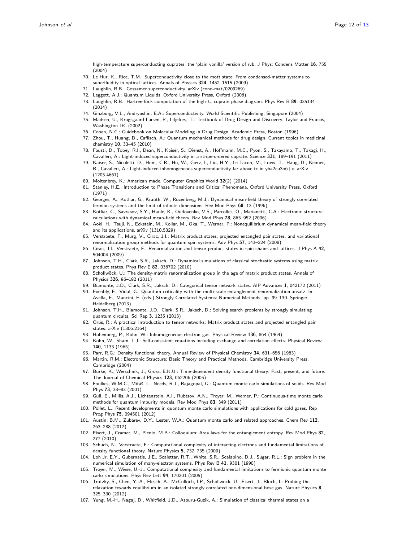high-temperature superconducting cuprates: the 'plain vanilla' version of rvb. J Phys: Condens Matter 16, 755 (2004)

- <span id="page-11-1"></span><span id="page-11-0"></span>70. Le Hur, K., Rice, T.M.: Superconductivity close to the mott state: From condensed-matter systems to superfluidity in optical lattices. Annals of Physics 324, 1452–1515 (2009)
- <span id="page-11-2"></span>71. Laughlin, R.B.: Gossamer superconductivity. arXiv (cond-mat/0209269)
- <span id="page-11-3"></span>72. Leggett, A.J.: Quantum Liquids. Oxford University Press, Oxford (2006)
- 73. Laughlin, R.B.: Hartree-fock computation of the high- $t_c$  cuprate phase diagram. Phys Rev B 89, 035134 (2014)
- <span id="page-11-5"></span><span id="page-11-4"></span>74. Ginzburg, V.L., Andryushin, E.A.: Superconductivity. World Scientific Publishing, Singapore (2004)
- 75. Madsen, U., Krogsgaard-Larsen, P., Liljefors, T.: Textbook of Drug Design and Discovery. Taylor and Francis, Washington DC (2002)
- <span id="page-11-7"></span><span id="page-11-6"></span>76. Cohen, N.C.: Guidebook on Molecular Modeling in Drug Design. Academic Press, Boston (1996)
- 77. Zhou, T., Huang, D., Caflisch, A.: Quantum mechanical methods for drug design. Current topics in medicinal chemistry 10, 33–45 (2010)
- <span id="page-11-8"></span>78. Fausti, D., Tobey, R.I., Dean, N., Kaiser, S., Dienst, A., Hoffmann, M.C., Pyon, S., Takayama, T., Takagi, H., Cavalleri, A.: Light-induced superconductivity in a stripe-ordered cuprate. Science 331, 189–191 (2011)
- <span id="page-11-9"></span>79. Kaiser, S., Nicoletti, D., Hunt, C.R., Hu, W., Gierz, I., Liu, H.Y., Le Tacon, M., Loew, T., Haug, D., Keimer, B., Cavalleri, A.: Light-induced inhomogeneous superconductivity far above tc in yba2cu3o6+x. arXiv (1205.4661)
- <span id="page-11-11"></span><span id="page-11-10"></span>80. Moltenbrey, K.: American made. Computer Graphics World 32(2) (2014)
- 81. Stanley, H.E.: Introduction to Phase Transitions and Critical Phenomena. Oxford University Press, Oxford (1971)
- <span id="page-11-12"></span>82. Georges, A., Kotliar, G., Krauth, W., Rozenberg, M.J.: Dynamical mean-field theory of strongly correlated fermion systems and the limit of infinite dimensions. Rev Mod Phys 68, 13 (1996)
- <span id="page-11-13"></span>83. Kotliar, G., Savrasov, S.Y., Haule, K., Oudovenko, V.S., Parcollet, O., Marianetti, C.A.: Electronic structure calculations with dynamical mean-field theory. Rev Mod Phys 78, 865–952 (2006)
- <span id="page-11-14"></span>84. Aoki, H., Tsuji, N., Eckstein, M., Kollar, M., Oka, T., Werner, P.: Nonequilibrium dynamical mean-field theory and its applications. arXiv (1310.5329)
- <span id="page-11-15"></span>85. Verstraete, F., Murg, V., Cirac, J.I.: Matrix product states, projected entangled pair states, and variational renormalization group methods for quantum spin systems. Adv Phys 57, 143–224 (2008)
- <span id="page-11-16"></span>86. Cirac, J.I., Verstraete, F.: Renormalization and tensor product states in spin chains and lattices. J Phys A 42, 504004 (2009)
- <span id="page-11-17"></span>87. Johnson, T.H., Clark, S.R., Jaksch, D.: Dynamical simulations of classical stochastic systems using matrix product states. Phys Rev E 82, 036702 (2010)
- <span id="page-11-18"></span>88. Schollwöck, U.: The density-matrix renormalization group in the age of matrix product states. Annals of Physics 326, 96–192 (2011)
- <span id="page-11-20"></span><span id="page-11-19"></span>89. Biamonte, J.D., Clark, S.R., Jaksch, D.: Categorical tensor network states. AIP Advances 1, 042172 (2011)
- 90. Evenbly, E., Vidal, G.: Quantum criticality with the multi-scale entanglement renormalization ansatz. In: Avella, E., Mancini, F. (eds.) Strongly Correlated Systems: Numerical Methods, pp. 99–130. Springer, Heidelberg (2013)
- <span id="page-11-21"></span>91. Johnson, T.H., Biamonte, J.D., Clark, S.R., Jaksch, D.: Solving search problems by strongly simulating quantum circuits. Sci Rep 3, 1235 (2013)
- <span id="page-11-22"></span>92. Orús, R.: A practical introduction to tensor networks: Matrix product states and projected entangled pair states. arXiv (1306.2164)
- <span id="page-11-24"></span><span id="page-11-23"></span>93. Hohenberg, P., Kohn, W.: Inhomogeneous electron gas. Physical Review 136, 864 (1964)
- 94. Kohn, W., Sham, L.J.: Self-consistent equations including exchange and correlation effects. Physical Review 140, 1133 (1965)
- <span id="page-11-26"></span><span id="page-11-25"></span>95. Parr, R.G.: Density functional theory. Annual Review of Physical Chemistry 34, 631–656 (1983)
- 96. Martin, R.M.: Electronic Structure: Basic Theory and Practical Methods. Cambridge University Press, Cambridge (2004)
- <span id="page-11-27"></span>97. Burke, K., Werschnik, J., Gross, E.K.U.: Time-dependent density functional theory: Past, present, and future. The Journal of Chemical Physics 123, 062206 (2005)
- <span id="page-11-28"></span>98. Foulkes, W.M.C., Mitáš, L., Needs, R.J., Rajagopal, G.: Quantum monte carlo simulations of solids. Rev Mod Phys 73, 33–83 (2001)
- <span id="page-11-29"></span>99. Gull, E., Millis, A.J., Lichtenstein, A.I., Rubtsov, A.N., Troyer, M., Werner, P.: Continuous-time monte carlo methods for quantum impurity models. Rev Mod Phys 83, 349 (2011)
- <span id="page-11-30"></span>100. Pollet, L.: Recent developments in quantum monte carlo simulations with applications for cold gases. Rep Prog Phys 75, 094501 (2012)
- <span id="page-11-31"></span>101. Austin, B.M., Zubarev, D.Y., Lester, W.A.: Quantum monte carlo and related approaches. Chem Rev 112, 263–288 (2012)
- <span id="page-11-32"></span>102. Eisert, J., Cramer, M., Plenio, M.B.: Colloquium: Area laws for the entanglement entropy. Rev Mod Phys 82, 277 (2010)
- <span id="page-11-33"></span>103. Schuch, N., Verstraete, F.: Computational complexity of interacting electrons and fundamental limitations of density functional theory. Nature Physics 5, 732–735 (2009)
- <span id="page-11-34"></span>104. Loh Jr, E.Y., Gubernatis, J.E., Scalettar, R.T., White, S.R., Scalapino, D.J., Sugar, R.L.: Sign problem in the numerical simulation of many-electron systems. Phys Rev B 41, 9301 (1990)
- <span id="page-11-35"></span>105. Troyer, M., Wiese, U.-J.: Computational complexity and fundamental limitations to fermionic quantum monte carlo simulations. Phys Rev Lett 94, 170201 (2005)
- <span id="page-11-36"></span>106. Trotzky, S., Chen, Y.-A., Flesch, A., McCulloch, I.P., Schollwöck, U., Eisert, J., Bloch, I.: Probing the relaxation towards equilibrium in an isolated strongly correlated one-dimensional bose gas. Nature Physics 8, 325–330 (2012)
- <span id="page-11-37"></span>107. Yung, M.-H., Nagaj, D., Whitfield, J.D., Aspuru-Guzik, A.: Simulation of classical thermal states on a